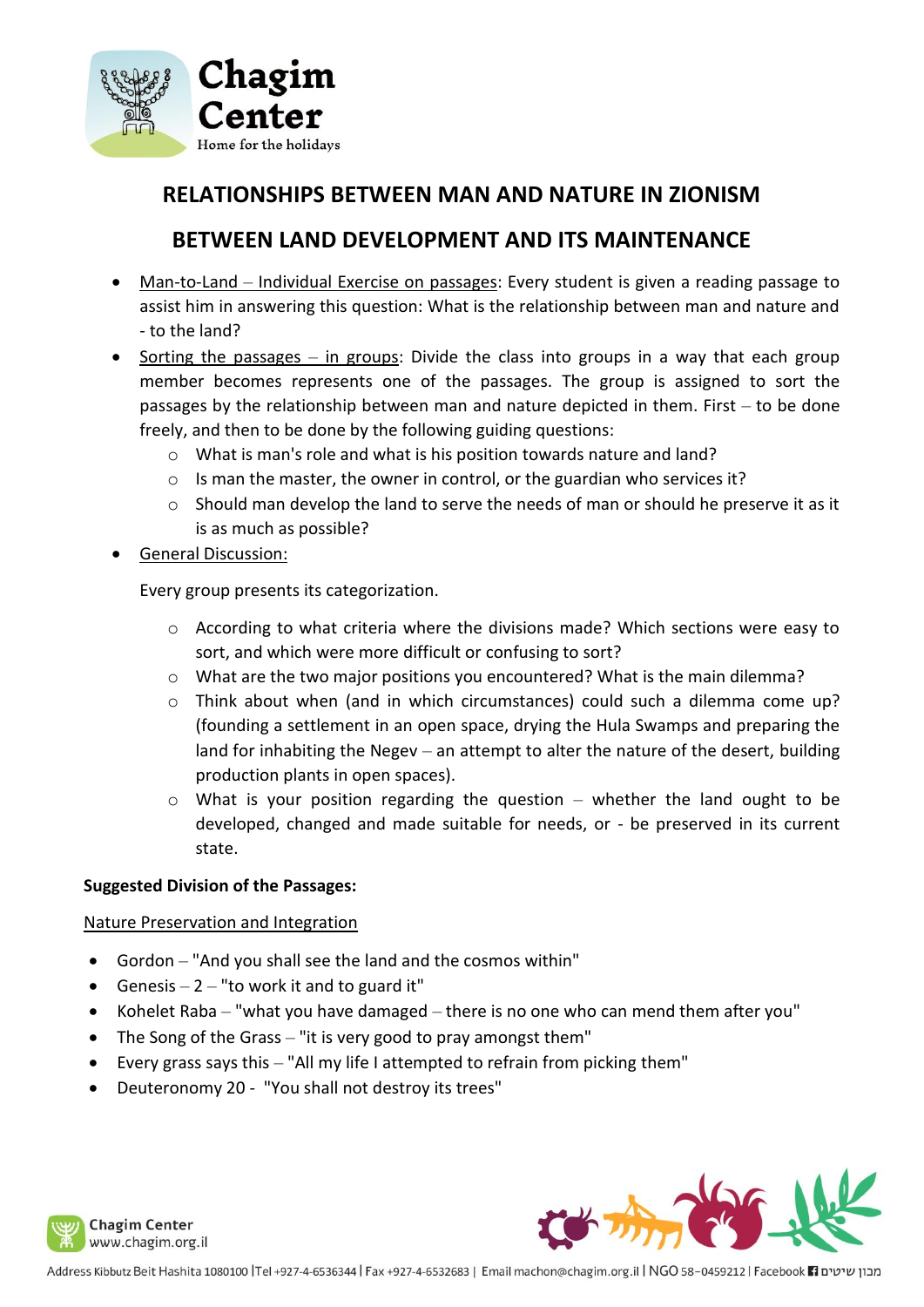

# **RELATIONSHIPS BETWEEN MAN AND NATURE IN ZIONISM**

# **BETWEEN LAND DEVELOPMENT AND ITS MAINTENANCE**

- Man-to-Land Individual Exercise on passages: Every student is given a reading passage to assist him in answering this question: What is the relationship between man and nature and - to the land?
- Sorting the passages in groups: Divide the class into groups in a way that each group member becomes represents one of the passages. The group is assigned to sort the passages by the relationship between man and nature depicted in them. First – to be done freely, and then to be done by the following guiding questions:
	- o What is man's role and what is his position towards nature and land?
	- o Is man the master, the owner in control, or the guardian who services it?
	- o Should man develop the land to serve the needs of man or should he preserve it as it is as much as possible?
- General Discussion:

Every group presents its categorization.

- $\circ$  According to what criteria where the divisions made? Which sections were easy to sort, and which were more difficult or confusing to sort?
- o What are the two major positions you encountered? What is the main dilemma?
- o Think about when (and in which circumstances) could such a dilemma come up? (founding a settlement in an open space, drying the Hula Swamps and preparing the land for inhabiting the Negev  $-$  an attempt to alter the nature of the desert, building production plants in open spaces).
- $\circ$  What is your position regarding the question whether the land ought to be developed, changed and made suitable for needs, or - be preserved in its current state.

### **Suggested Division of the Passages:**

### Nature Preservation and Integration

- Gordon "And you shall see the land and the cosmos within"
- Genesis  $-2$  "to work it and to guard it"
- Kohelet Raba "what you have damaged there is no one who can mend them after you"
- The Song of the Grass "it is very good to pray amongst them"
- Every grass says this "All my life I attempted to refrain from picking them"
- Deuteronomy 20 "You shall not destroy its trees"



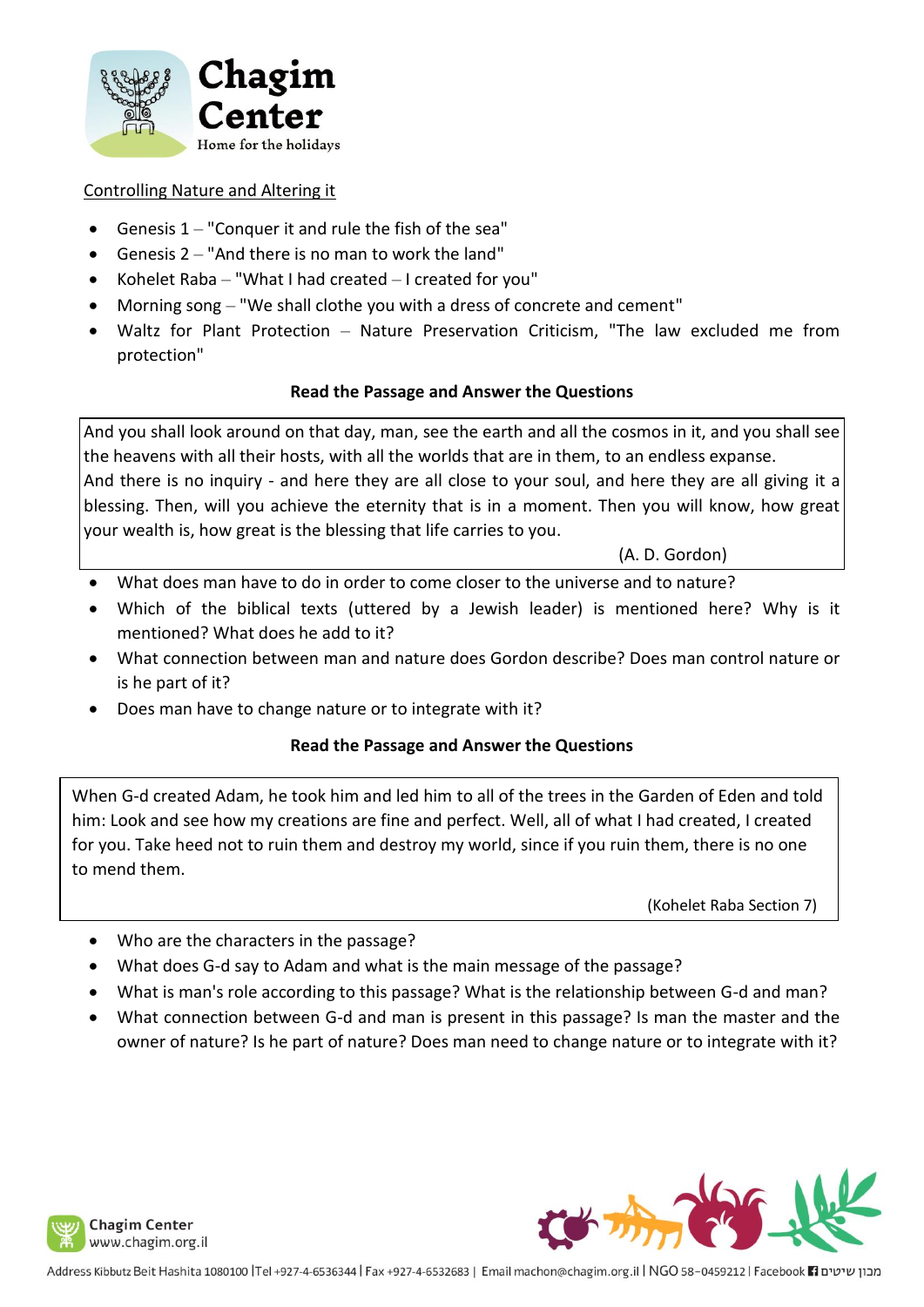

### Controlling Nature and Altering it

- Genesis  $1 -$  "Conquer it and rule the fish of the sea"
- Genesis 2 "And there is no man to work the land"
- Kohelet Raba "What I had created I created for you"
- Morning song "We shall clothe you with a dress of concrete and cement"
- Waltz for Plant Protection Nature Preservation Criticism, "The law excluded me from protection"

### **Read the Passage and Answer the Questions**

And you shall look around on that day, man, see the earth and all the cosmos in it, and you shall see the heavens with all their hosts, with all the worlds that are in them, to an endless expanse. And there is no inquiry - and here they are all close to your soul, and here they are all giving it a blessing. Then, will you achieve the eternity that is in a moment. Then you will know, how great your wealth is, how great is the blessing that life carries to you.

(A. D. Gordon)

- What does man have to do in order to come closer to the universe and to nature?
- Which of the biblical texts (uttered by a Jewish leader) is mentioned here? Why is it mentioned? What does he add to it?
- What connection between man and nature does Gordon describe? Does man control nature or is he part of it?
- Does man have to change nature or to integrate with it?

### **Read the Passage and Answer the Questions**

When G-d created Adam, he took him and led him to all of the trees in the Garden of Eden and told him: Look and see how my creations are fine and perfect. Well, all of what I had created, I created for you. Take heed not to ruin them and destroy my world, since if you ruin them, there is no one to mend them.

(Kohelet Raba Section 7)

- Who are the characters in the passage?
- What does G-d say to Adam and what is the main message of the passage?
- What is man's role according to this passage? What is the relationship between G-d and man?
- What connection between G-d and man is present in this passage? Is man the master and the owner of nature? Is he part of nature? Does man need to change nature or to integrate with it?





מבון שיטים Facebook 11881tr ו-Address Kibbutz Beit Hashita 1080100 |Tel +927-4-6536344 | Fax +927-4-6532683 | Email machon@chagim.org.il | NGO 58-0459212 | Facebook 1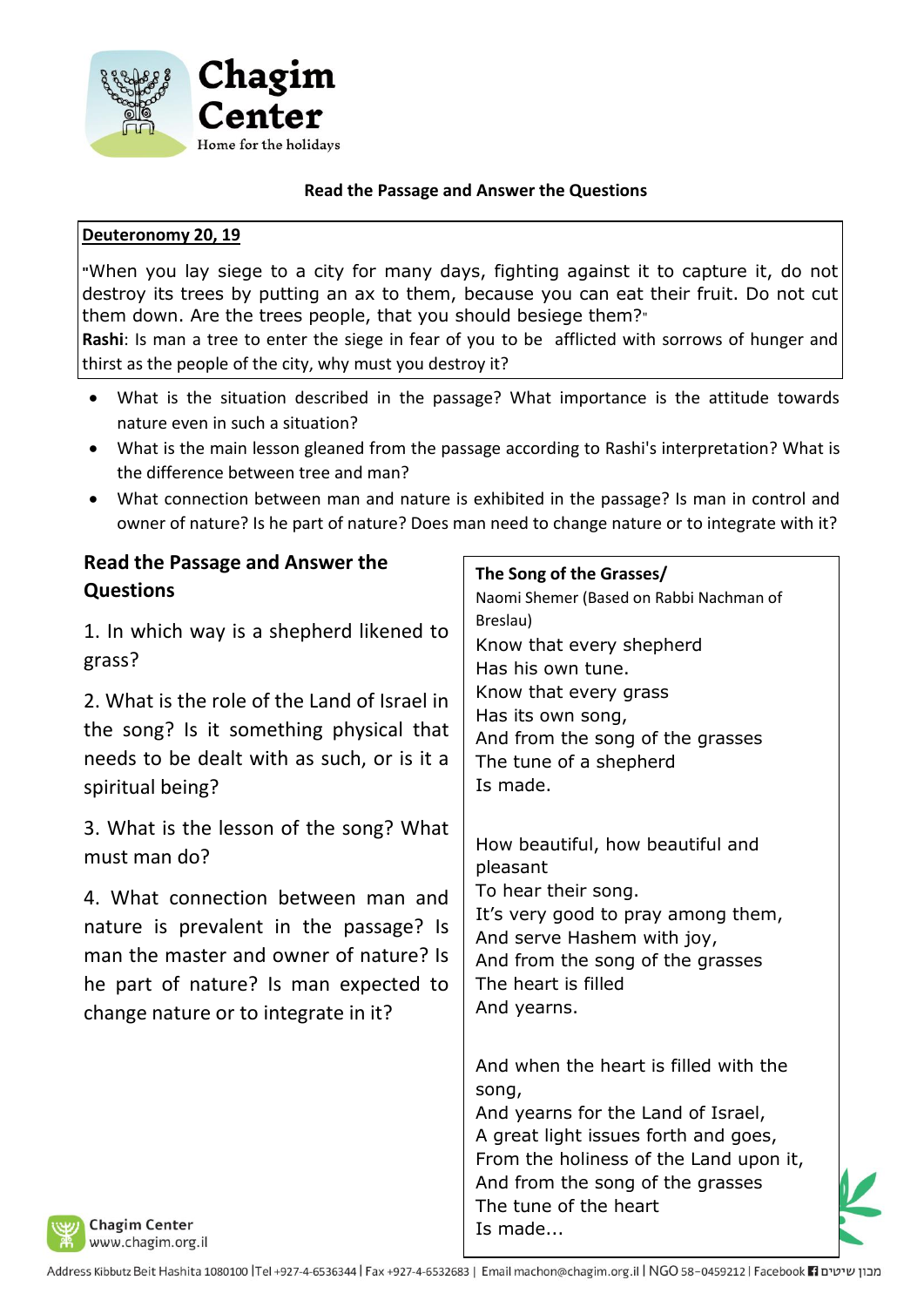

### **Deuteronomy 20, 19**

**"**When you lay siege to a city for many days, fighting against it to capture it, do not destroy its trees by putting an ax to them, because you can eat their fruit. Do not cut them down. Are the trees people, that you should besiege them?"

**Rashi**: Is man a tree to enter the siege in fear of you to be afflicted with sorrows of hunger and thirst as the people of the city, why must you destroy it?

- What is the situation described in the passage? What importance is the attitude towards nature even in such a situation?
- What is the main lesson gleaned from the passage according to Rashi's interpretation? What is the difference between tree and man?
- What connection between man and nature is exhibited in the passage? Is man in control and owner of nature? Is he part of nature? Does man need to change nature or to integrate with it?

| The Song of the Grasses/<br>Naomi Shemer (Based on Rabbi Nachman of<br>Breslau)<br>Know that every shepherd<br>Has his own tune.                                                                                                               |
|------------------------------------------------------------------------------------------------------------------------------------------------------------------------------------------------------------------------------------------------|
|                                                                                                                                                                                                                                                |
|                                                                                                                                                                                                                                                |
| Know that every grass<br>Has its own song,<br>And from the song of the grasses<br>The tune of a shepherd<br>Is made.                                                                                                                           |
| How beautiful, how beautiful and<br>pleasant                                                                                                                                                                                                   |
| To hear their song.<br>It's very good to pray among them,<br>And serve Hashem with joy,<br>And from the song of the grasses<br>The heart is filled<br>And yearns.                                                                              |
| And when the heart is filled with the<br>song,<br>And yearns for the Land of Israel,<br>A great light issues forth and goes,<br>From the holiness of the Land upon it,<br>And from the song of the grasses<br>The tune of the heart<br>Is made |
|                                                                                                                                                                                                                                                |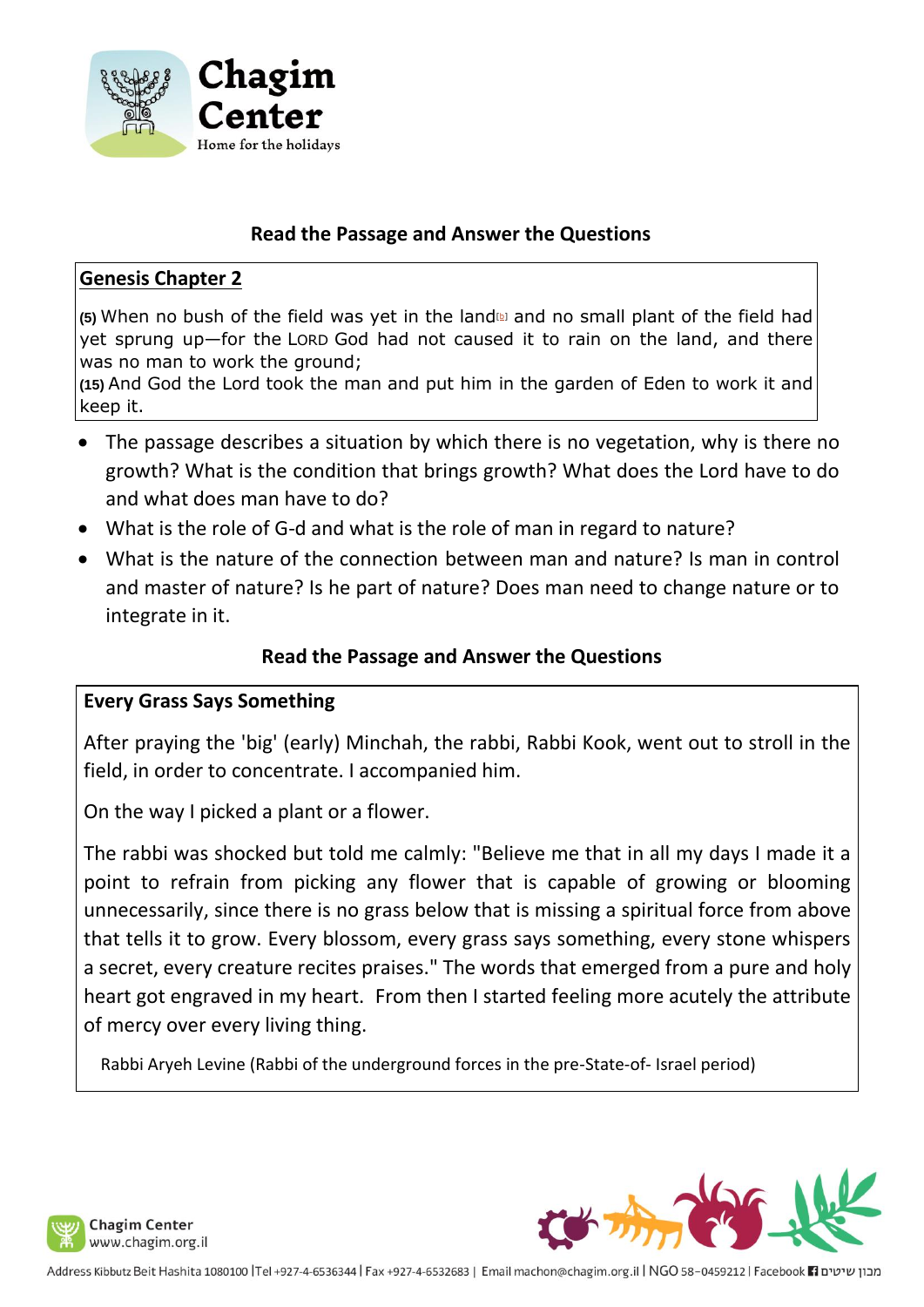

# **Genesis Chapter 2**

**(5)** When no bush of the field was yet in the land[\[b\]](https://www.biblegateway.com/passage/?search=Genesis+2%3A5&version=ESV#fen-ESV-36b) and no small plant of the field had yet sprung up—for the LORD God had not caused it to rain on the land, and there was no man to work the ground;

**(15)** And God the Lord took the man and put him in the garden of Eden to work it and keep it.

- The passage describes a situation by which there is no vegetation, why is there no growth? What is the condition that brings growth? What does the Lord have to do and what does man have to do?
- What is the role of G-d and what is the role of man in regard to nature?
- What is the nature of the connection between man and nature? Is man in control and master of nature? Is he part of nature? Does man need to change nature or to integrate in it.

# **Read the Passage and Answer the Questions**

### **Every Grass Says Something**

After praying the 'big' (early) Minchah, the rabbi, Rabbi Kook, went out to stroll in the field, in order to concentrate. I accompanied him.

On the way I picked a plant or a flower.

The rabbi was shocked but told me calmly: "Believe me that in all my days I made it a point to refrain from picking any flower that is capable of growing or blooming unnecessarily, since there is no grass below that is missing a spiritual force from above that tells it to grow. Every blossom, every grass says something, every stone whispers a secret, every creature recites praises." The words that emerged from a pure and holy heart got engraved in my heart. From then I started feeling more acutely the attribute of mercy over every living thing.

Rabbi Aryeh Levine (Rabbi of the underground forces in the pre-State-of- Israel period)





מבון שיטים Facebook El ו-Address Kibbutz Beit Hashita 1080100 |Tel +927-4-6536344 | Fax +927-4-6532683 | Email machon@chagim.org.il | NGO 58-0459212 | Facebook El נמבון שיטים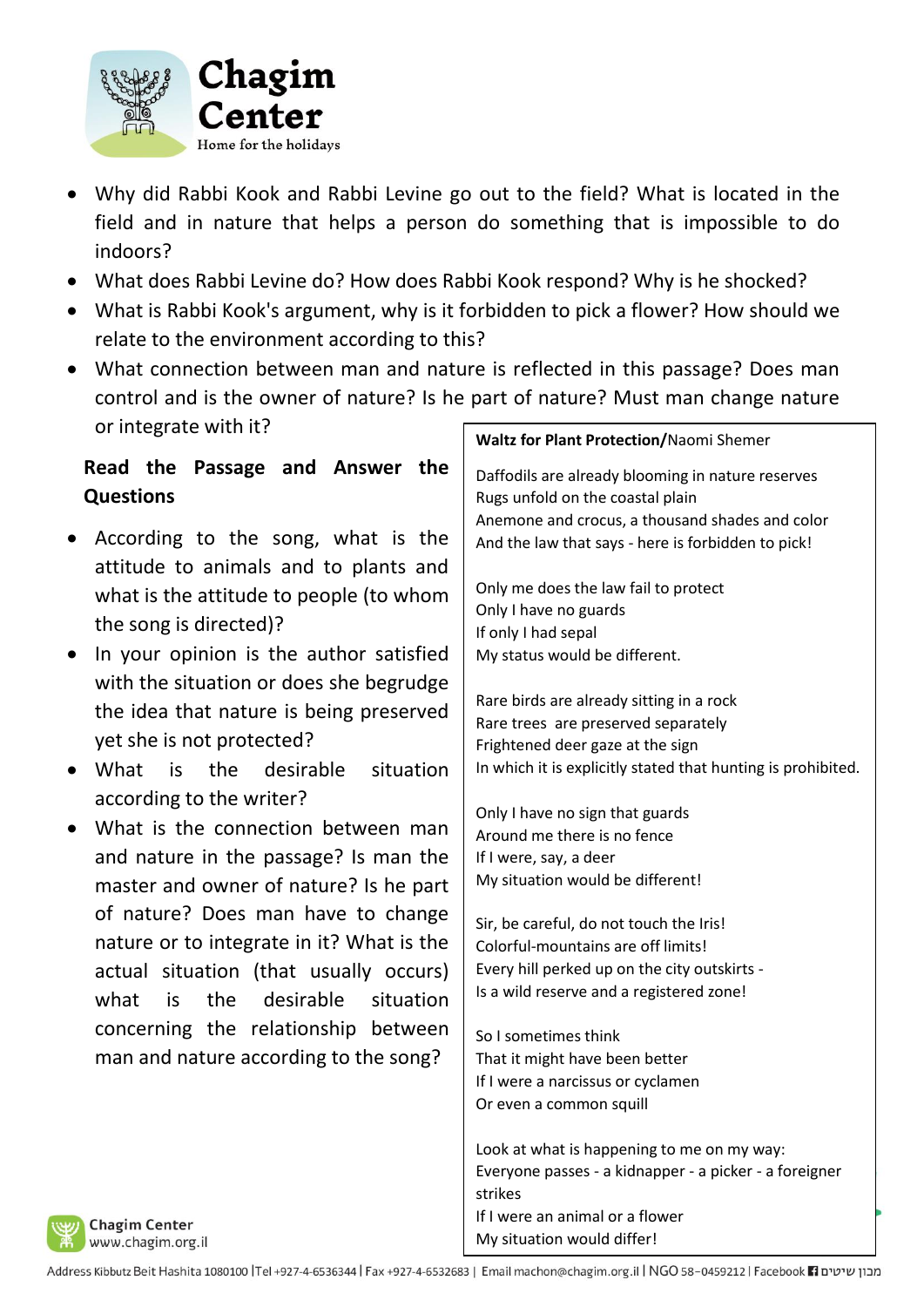

- Why did Rabbi Kook and Rabbi Levine go out to the field? What is located in the field and in nature that helps a person do something that is impossible to do indoors?
- What does Rabbi Levine do? How does Rabbi Kook respond? Why is he shocked?
- What is Rabbi Kook's argument, why is it forbidden to pick a flower? How should we relate to the environment according to this?
- What connection between man and nature is reflected in this passage? Does man control and is the owner of nature? Is he part of nature? Must man change nature or integrate with it?

- According to the song, what is the attitude to animals and to plants and what is the attitude to people (to whom the song is directed)?
- In your opinion is the author satisfied with the situation or does she begrudge the idea that nature is being preserved yet she is not protected?
- What is the desirable situation according to the writer?
- What is the connection between man and nature in the passage? Is man the master and owner of nature? Is he part of nature? Does man have to change nature or to integrate in it? What is the actual situation (that usually occurs) what is the desirable situation concerning the relationship between man and nature according to the song?

### **Waltz for Plant Protection/**Naomi Shemer

Daffodils are already blooming in nature reserves Rugs unfold on the coastal plain Anemone and crocus, a thousand shades and color And the law that says - here is forbidden to pick!

Only me does the law fail to protect Only I have no guards If only I had sepal My status would be different.

Rare birds are already sitting in a rock Rare trees are preserved separately Frightened deer gaze at the sign In which it is explicitly stated that hunting is prohibited.

Only I have no sign that guards Around me there is no fence If I were, say, a deer My situation would be different!

Sir, be careful, do not touch the Iris! Colorful-mountains are off limits! Every hill perked up on the city outskirts - Is a wild reserve and a registered zone!

So I sometimes think That it might have been better If I were a narcissus or cyclamen Or even a common squill

Look at what is happening to me on my way: Everyone passes - a kidnapper - a picker - a foreigner strikes If I were an animal or a flower My situation would differ!

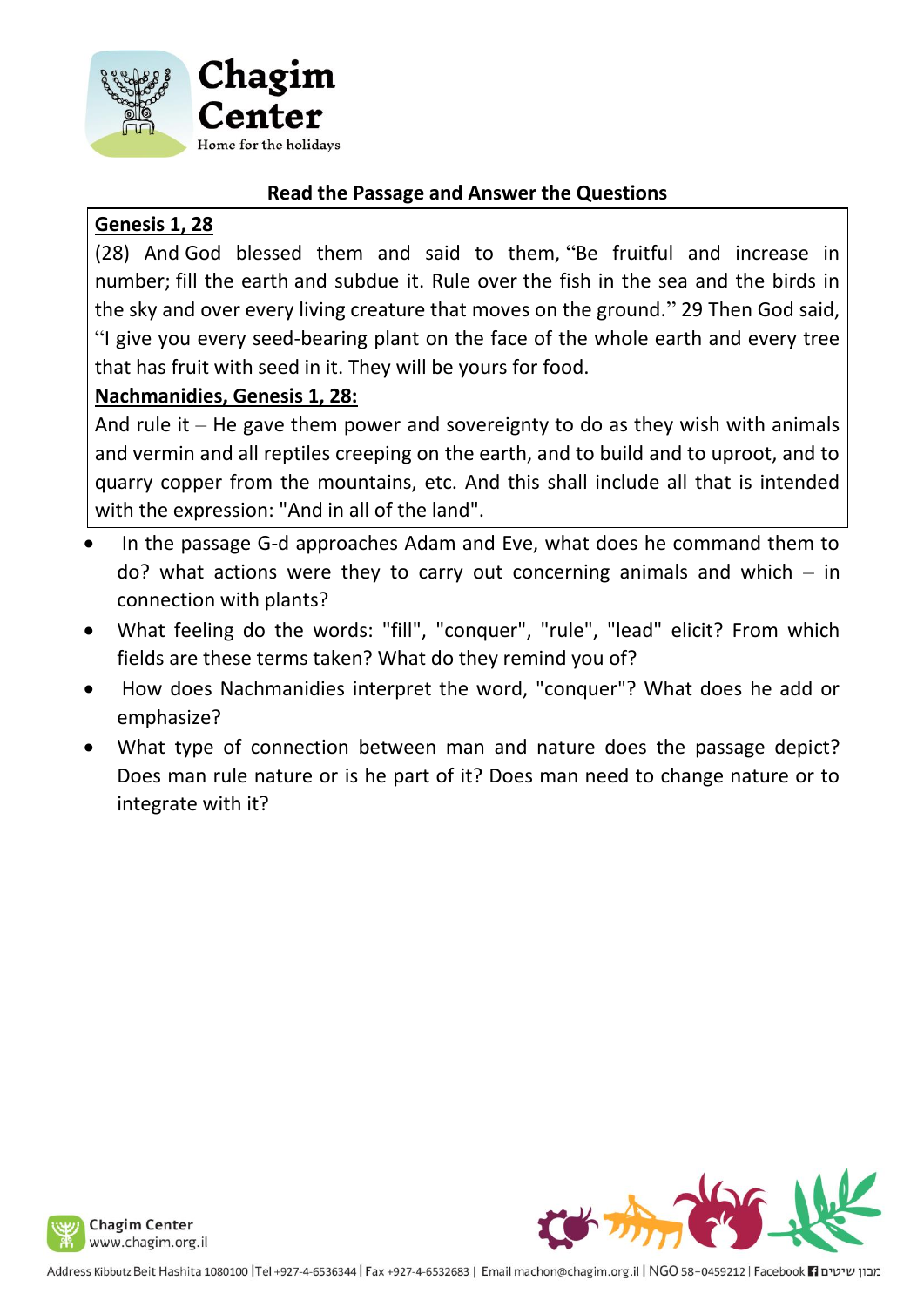

# **Genesis 1, 28**

(28) And God blessed them and said to them, "Be fruitful and increase in number; fill the earth and subdue it. Rule over the fish in the sea and the birds in the sky and over every living creature that moves on the ground." 29 Then God said, "I give you every seed-bearing plant on the face of the whole earth and every tree that has fruit with seed in it. They will be yours for food.

# **Nachmanidies, Genesis 1, 28:**

And rule it – He gave them power and sovereignty to do as they wish with animals and vermin and all reptiles creeping on the earth, and to build and to uproot, and to quarry copper from the mountains, etc. And this shall include all that is intended with the expression: "And in all of the land".

- In the passage G-d approaches Adam and Eve, what does he command them to  $do?$  what actions were they to carry out concerning animals and which  $-$  in connection with plants?
- What feeling do the words: "fill", "conquer", "rule", "lead" elicit? From which fields are these terms taken? What do they remind you of?
- How does Nachmanidies interpret the word, "conquer"? What does he add or emphasize?
- What type of connection between man and nature does the passage depict? Does man rule nature or is he part of it? Does man need to change nature or to integrate with it?



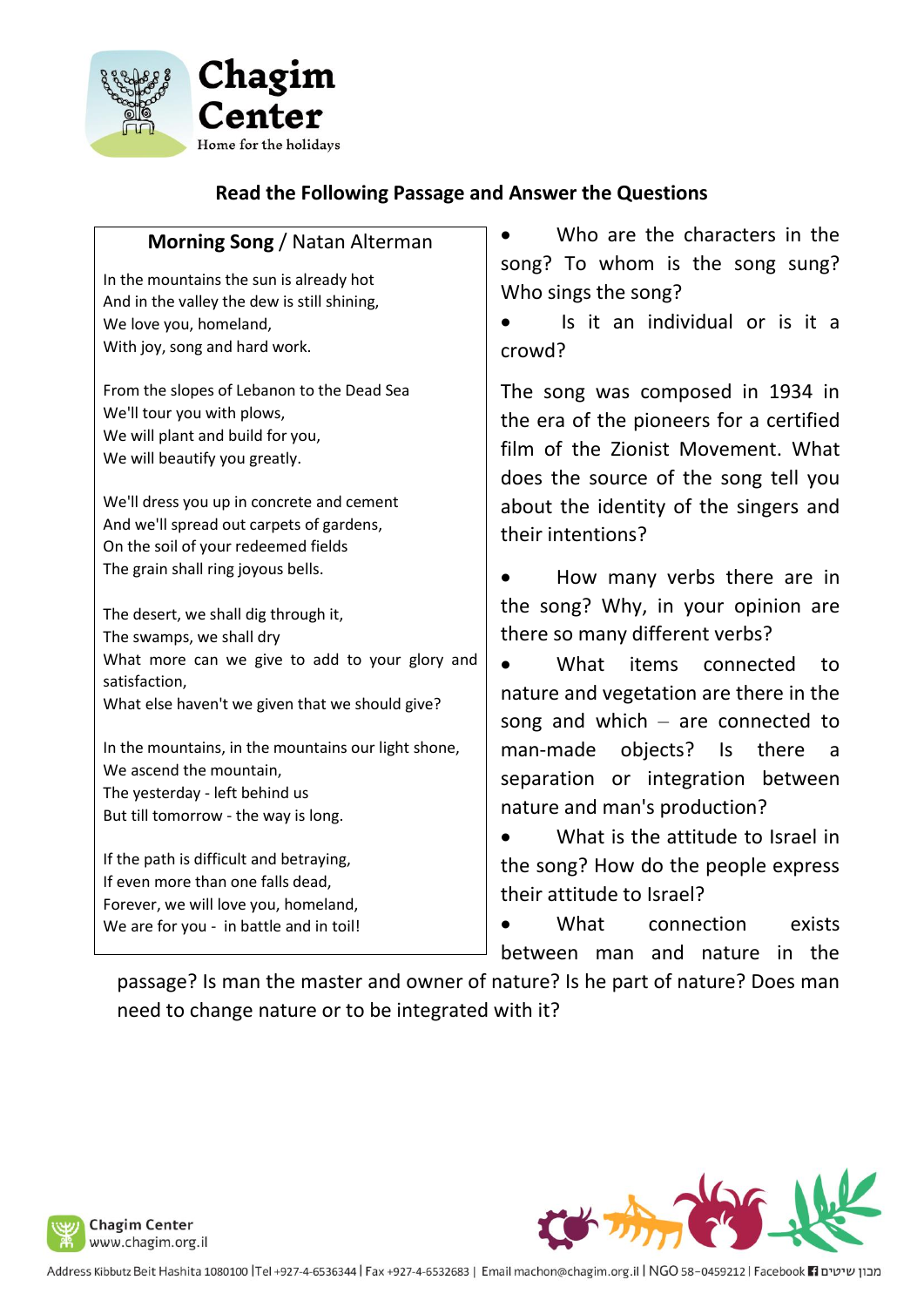

# **Read the Following Passage and Answer the Questions**

# **Morning Song** / Natan Alterman

In the mountains the sun is already hot And in the valley the dew is still shining, We love you, homeland, With joy, song and hard work.

From the slopes of Lebanon to the Dead Sea We'll tour you with plows, We will plant and build for you, We will beautify you greatly.

We'll dress you up in concrete and cement And we'll spread out carpets of gardens, On the soil of your redeemed fields The grain shall ring joyous bells.

The desert, we shall dig through it, The swamps, we shall dry What more can we give to add to your glory and satisfaction, What else haven't we given that we should give?

In the mountains, in the mountains our light shone, We ascend the mountain, The yesterday - left behind us But till tomorrow - the way is long.

If the path is difficult and betraying, If even more than one falls dead, Forever, we will love you, homeland, We are for you - in battle and in toil!

Who are the characters in the song? To whom is the song sung? Who sings the song?

• Is it an individual or is it a crowd?

The song was composed in 1934 in the era of the pioneers for a certified film of the Zionist Movement. What does the source of the song tell you about the identity of the singers and their intentions?

• How many verbs there are in the song? Why, in your opinion are there so many different verbs?

What items connected to nature and vegetation are there in the song and which – are connected to man-made objects? Is there a separation or integration between nature and man's production?

What is the attitude to Israel in the song? How do the people express their attitude to Israel?

What connection exists between man and nature in the

passage? Is man the master and owner of nature? Is he part of nature? Does man need to change nature or to be integrated with it?

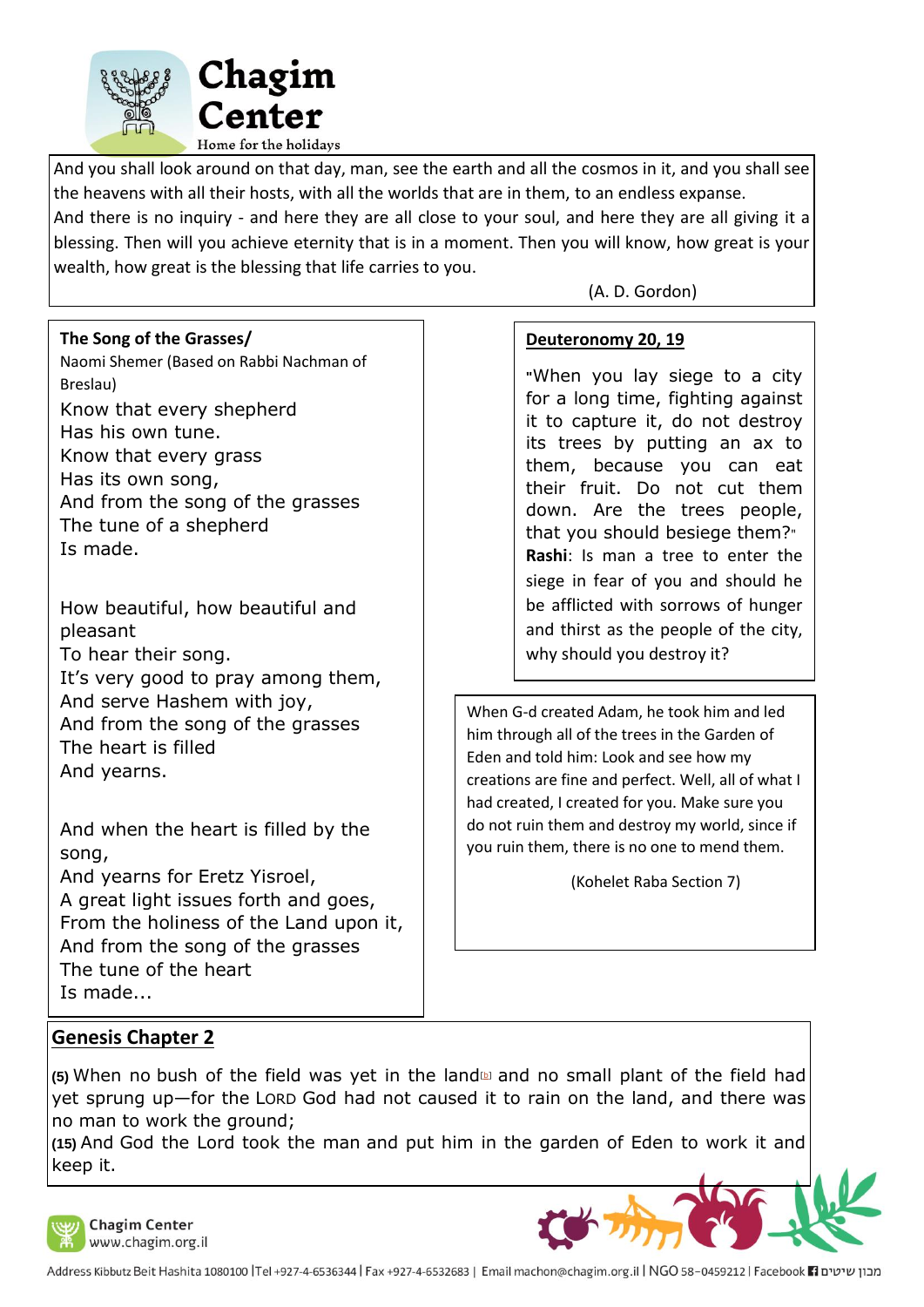

And you shall look around on that day, man, see the earth and all the cosmos in it, and you shall see the heavens with all their hosts, with all the worlds that are in them, to an endless expanse.

And there is no inquiry - and here they are all close to your soul, and here they are all giving it a blessing. Then will you achieve eternity that is in a moment. Then you will know, how great is your wealth, how great is the blessing that life carries to you.

#### **The Song of the Grasses/**

Naomi Shemer (Based on Rabbi Nachman of Breslau) Know that every shepherd Has his own tune. Know that every grass Has its own song, And from the song of the grasses The tune of a shepherd Is made.

How beautiful, how beautiful and pleasant To hear their song. It's very good to pray among them, And serve Hashem with joy, And from the song of the grasses The heart is filled And yearns.

And when the heart is filled by the song,

And yearns for Eretz Yisroel, A great light issues forth and goes, From the holiness of the Land upon it, And from the song of the grasses The tune of the heart Is made...

#### (A. D. Gordon)

#### **Deuteronomy 20, 19**

**"**When you lay siege to a city for a long time, fighting against it to capture it, do not destroy its trees by putting an ax to them, because you can eat their fruit. Do not cut them down. Are the trees people, that you should besiege them?" **Rashi**: Is man a tree to enter the siege in fear of you and should he be afflicted with sorrows of hunger and thirst as the people of the city, why should you destroy it?

When G-d created Adam, he took him and led him through all of the trees in the Garden of Eden and told him: Look and see how my creations are fine and perfect. Well, all of what I had created, I created for you. Make sure you do not ruin them and destroy my world, since if you ruin them, there is no one to mend them.

(Kohelet Raba Section 7)

### **Genesis Chapter 2**

**(5)** When no bush of the field was yet in the land[\[b\]](https://www.biblegateway.com/passage/?search=Genesis+2%3A5&version=ESV#fen-ESV-36b) and no small plant of the field had yet sprung up—for the LORD God had not caused it to rain on the land, and there was no man to work the ground;

**(15)** And God the Lord took the man and put him in the garden of Eden to work it and keep it.



**Chagim Center** www.chagim.org.il

מבון שיטים Facebook 11881tr ו-Address Kibbutz Beit Hashita 1080100 |Tel +927-4-6536344 | Fax +927-4-6532683 | Email machon@chagim.org.il | NGO 58-0459212 | Facebook 1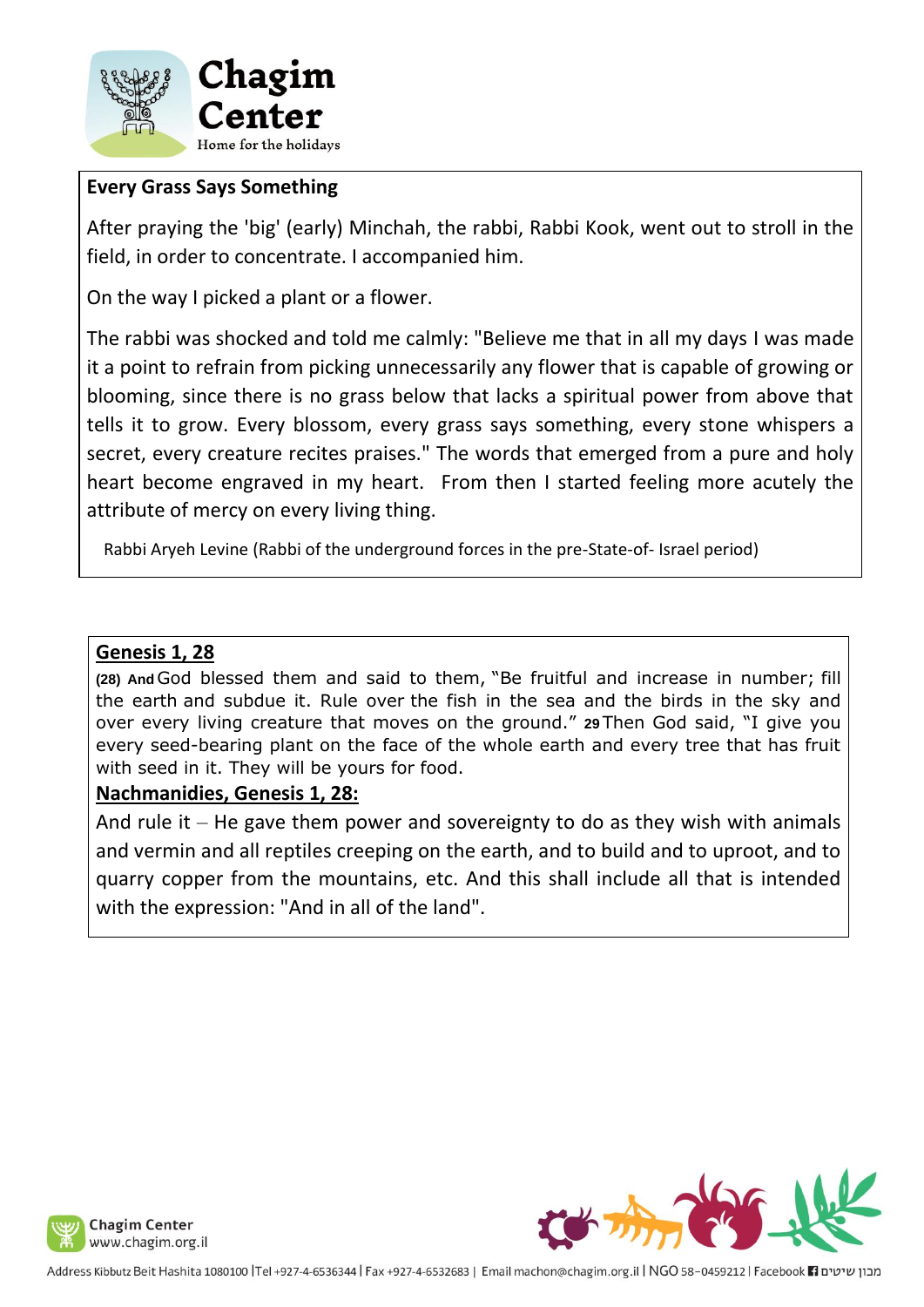

# **Every Grass Says Something**

After praying the 'big' (early) Minchah, the rabbi, Rabbi Kook, went out to stroll in the field, in order to concentrate. I accompanied him.

On the way I picked a plant or a flower.

The rabbi was shocked and told me calmly: "Believe me that in all my days I was made it a point to refrain from picking unnecessarily any flower that is capable of growing or blooming, since there is no grass below that lacks a spiritual power from above that tells it to grow. Every blossom, every grass says something, every stone whispers a secret, every creature recites praises." The words that emerged from a pure and holy heart become engraved in my heart. From then I started feeling more acutely the attribute of mercy on every living thing.

Rabbi Aryeh Levine (Rabbi of the underground forces in the pre-State-of- Israel period)

### **Genesis 1, 28**

**(28) And** God blessed them and said to them, "Be fruitful and increase in number; fill the earth and subdue it. Rule over the fish in the sea and the birds in the sky and over every living creature that moves on the ground." **29** Then God said, "I give you every seed-bearing plant on the face of the whole earth and every tree that has fruit with seed in it. They will be yours for food.

### **Nachmanidies, Genesis 1, 28:**

And rule it – He gave them power and sovereignty to do as they wish with animals and vermin and all reptiles creeping on the earth, and to build and to uproot, and to quarry copper from the mountains, etc. And this shall include all that is intended with the expression: "And in all of the land".





Address Kibbutz Beit Hashita 1080100 |Tel +927-4-6536344 | Fax +927-4-6532683 | Email machon@chagim.org.il | NGO 58-0459212 | Facebook | נמבון שיטים Address Kibbutz Beit Hashita 1080100 | Tel +927-4-6532644 | Fax +927-4-6